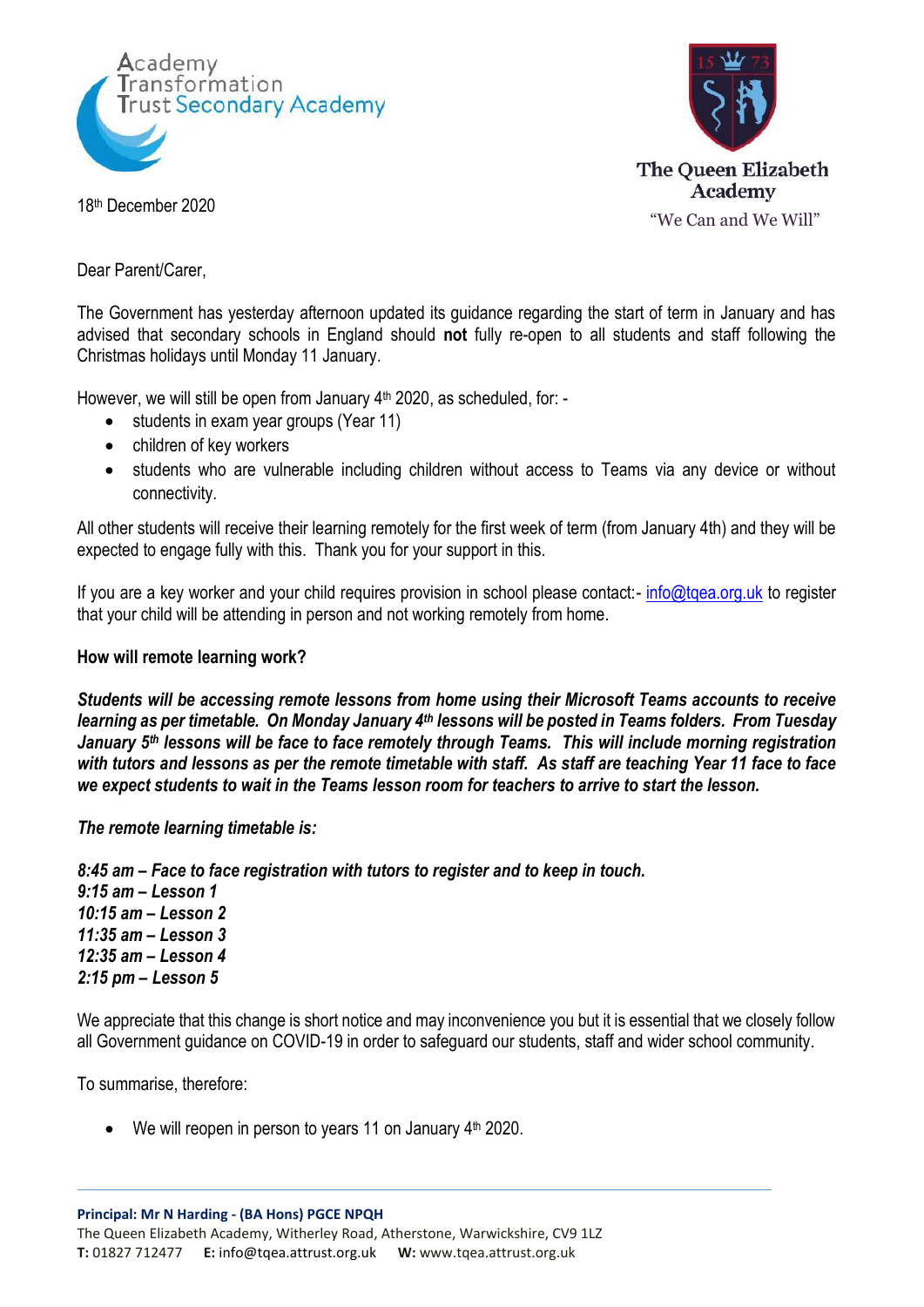



18th December 2020

Dear Parent/Carer,

The Government has yesterday afternoon updated its guidance regarding the start of term in January and has advised that secondary schools in England should **not** fully re-open to all students and staff following the Christmas holidays until Monday 11 January.

However, we will still be open from January 4<sup>th</sup> 2020, as scheduled, for: -

- students in exam year groups (Year 11)
- children of key workers
- students who are vulnerable including children without access to Teams via any device or without connectivity.

All other students will receive their learning remotely for the first week of term (from January 4th) and they will be expected to engage fully with this. Thank you for your support in this.

If you are a key worker and your child requires provision in school please contact:- [info@tqea.org.uk](mailto:info@tqea.org.uk) to register that your child will be attending in person and not working remotely from home.

## **How will remote learning work?**

*Students will be accessing remote lessons from home using their Microsoft Teams accounts to receive learning as per timetable. On Monday January 4th lessons will be posted in Teams folders. From Tuesday January 5th lessons will be face to face remotely through Teams. This will include morning registration with tutors and lessons as per the remote timetable with staff. As staff are teaching Year 11 face to face we expect students to wait in the Teams lesson room for teachers to arrive to start the lesson.*

*The remote learning timetable is:*

*8:45 am – Face to face registration with tutors to register and to keep in touch.*

*9:15 am – Lesson 1 10:15 am – Lesson 2 11:35 am – Lesson 3 12:35 am – Lesson 4 2:15 pm – Lesson 5*

We appreciate that this change is short notice and may inconvenience you but it is essential that we closely follow all Government guidance on COVID-19 in order to safeguard our students, staff and wider school community.

To summarise, therefore:

 $\bullet$  We will reopen in person to years 11 on January  $4<sup>th</sup>$  2020.